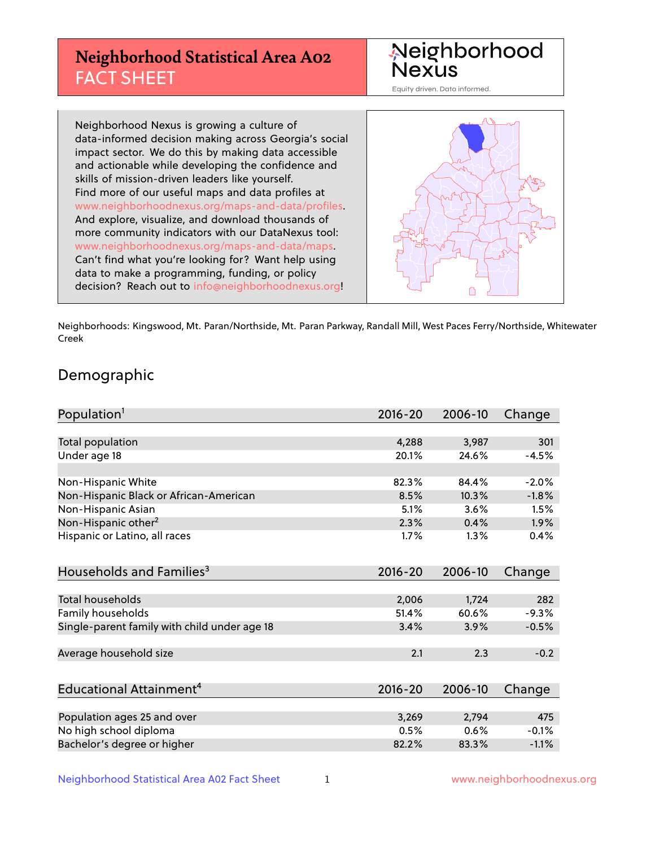# **Neighborhood Statistical Area A02** FACT SHEET



Equity driven. Data informed.

Neighborhood Nexus is growing a culture of data-informed decision making across Georgia's social impact sector. We do this by making data accessible and actionable while developing the confidence and skills of mission-driven leaders like yourself. Find more of our useful maps and data profiles at www.neighborhoodnexus.org/maps-and-data/profiles. And explore, visualize, and download thousands of more community indicators with our DataNexus tool: www.neighborhoodnexus.org/maps-and-data/maps. Can't find what you're looking for? Want help using data to make a programming, funding, or policy decision? Reach out to [info@neighborhoodnexus.org!](mailto:info@neighborhoodnexus.org)



Neighborhoods: Kingswood, Mt. Paran/Northside, Mt. Paran Parkway, Randall Mill, West Paces Ferry/Northside, Whitewater Creek

### Demographic

| Population <sup>1</sup>                      | $2016 - 20$ | 2006-10 | Change  |
|----------------------------------------------|-------------|---------|---------|
|                                              |             |         |         |
| Total population                             | 4,288       | 3,987   | 301     |
| Under age 18                                 | 20.1%       | 24.6%   | $-4.5%$ |
|                                              |             |         |         |
| Non-Hispanic White                           | 82.3%       | 84.4%   | $-2.0%$ |
| Non-Hispanic Black or African-American       | 8.5%        | 10.3%   | $-1.8%$ |
| Non-Hispanic Asian                           | 5.1%        | 3.6%    | 1.5%    |
| Non-Hispanic other <sup>2</sup>              | 2.3%        | 0.4%    | 1.9%    |
| Hispanic or Latino, all races                | 1.7%        | 1.3%    | 0.4%    |
| Households and Families <sup>3</sup>         | $2016 - 20$ | 2006-10 | Change  |
|                                              |             |         |         |
| <b>Total households</b>                      | 2,006       | 1,724   | 282     |
| Family households                            | 51.4%       | 60.6%   | $-9.3%$ |
| Single-parent family with child under age 18 | 3.4%        | 3.9%    | $-0.5%$ |
| Average household size                       | 2.1         | 2.3     | $-0.2$  |
|                                              |             |         |         |
| Educational Attainment <sup>4</sup>          | $2016 - 20$ | 2006-10 | Change  |
|                                              |             |         |         |
| Population ages 25 and over                  | 3,269       | 2,794   | 475     |
| No high school diploma                       | 0.5%        | 0.6%    | $-0.1%$ |
| Bachelor's degree or higher                  | 82.2%       | 83.3%   | $-1.1%$ |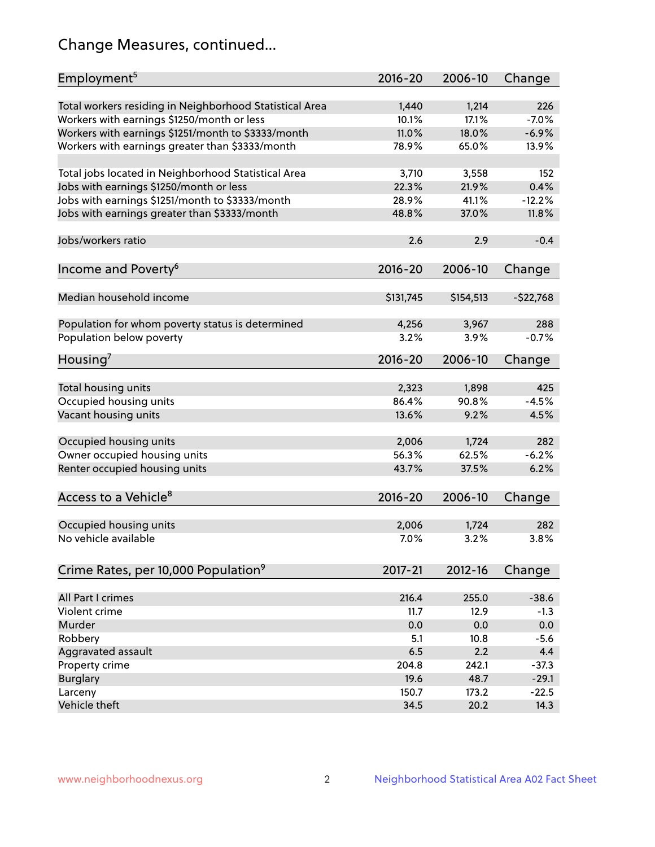# Change Measures, continued...

| Employment <sup>5</sup>                                 | $2016 - 20$ | 2006-10   | Change     |
|---------------------------------------------------------|-------------|-----------|------------|
|                                                         |             |           |            |
| Total workers residing in Neighborhood Statistical Area | 1,440       | 1,214     | 226        |
| Workers with earnings \$1250/month or less              | 10.1%       | 17.1%     | $-7.0%$    |
| Workers with earnings \$1251/month to \$3333/month      | 11.0%       | 18.0%     | $-6.9%$    |
| Workers with earnings greater than \$3333/month         | 78.9%       | 65.0%     | 13.9%      |
| Total jobs located in Neighborhood Statistical Area     | 3,710       | 3,558     | 152        |
| Jobs with earnings \$1250/month or less                 | 22.3%       | 21.9%     | 0.4%       |
| Jobs with earnings \$1251/month to \$3333/month         | 28.9%       | 41.1%     | $-12.2%$   |
| Jobs with earnings greater than \$3333/month            | 48.8%       | 37.0%     | 11.8%      |
|                                                         |             |           |            |
| Jobs/workers ratio                                      | 2.6         | 2.9       | $-0.4$     |
|                                                         |             |           |            |
| Income and Poverty <sup>6</sup>                         | 2016-20     | 2006-10   | Change     |
| Median household income                                 |             |           |            |
|                                                         | \$131,745   | \$154,513 | $-522,768$ |
| Population for whom poverty status is determined        | 4,256       | 3,967     | 288        |
| Population below poverty                                | 3.2%        | 3.9%      | $-0.7%$    |
|                                                         |             |           |            |
| Housing <sup>7</sup>                                    | $2016 - 20$ | 2006-10   | Change     |
|                                                         |             |           |            |
| Total housing units                                     | 2,323       | 1,898     | 425        |
| Occupied housing units                                  | 86.4%       | 90.8%     | $-4.5%$    |
| Vacant housing units                                    | 13.6%       | 9.2%      | 4.5%       |
| Occupied housing units                                  | 2,006       | 1,724     | 282        |
| Owner occupied housing units                            | 56.3%       | 62.5%     | $-6.2%$    |
| Renter occupied housing units                           | 43.7%       | 37.5%     | 6.2%       |
|                                                         |             |           |            |
| Access to a Vehicle <sup>8</sup>                        | $2016 - 20$ | 2006-10   | Change     |
|                                                         |             |           |            |
| Occupied housing units                                  | 2,006       | 1,724     | 282        |
| No vehicle available                                    | 7.0%        | 3.2%      | 3.8%       |
|                                                         |             |           |            |
| Crime Rates, per 10,000 Population <sup>9</sup>         | 2017-21     | 2012-16   | Change     |
|                                                         |             |           |            |
| All Part I crimes                                       | 216.4       | 255.0     | $-38.6$    |
| Violent crime                                           | 11.7        | 12.9      | $-1.3$     |
| Murder                                                  | 0.0         | 0.0       | 0.0        |
| Robbery                                                 | 5.1         | 10.8      | $-5.6$     |
| Aggravated assault                                      | 6.5         | 2.2       | 4.4        |
| Property crime                                          | 204.8       | 242.1     | $-37.3$    |
| <b>Burglary</b>                                         | 19.6        | 48.7      | $-29.1$    |
| Larceny                                                 | 150.7       | 173.2     | $-22.5$    |
| Vehicle theft                                           | 34.5        | 20.2      | 14.3       |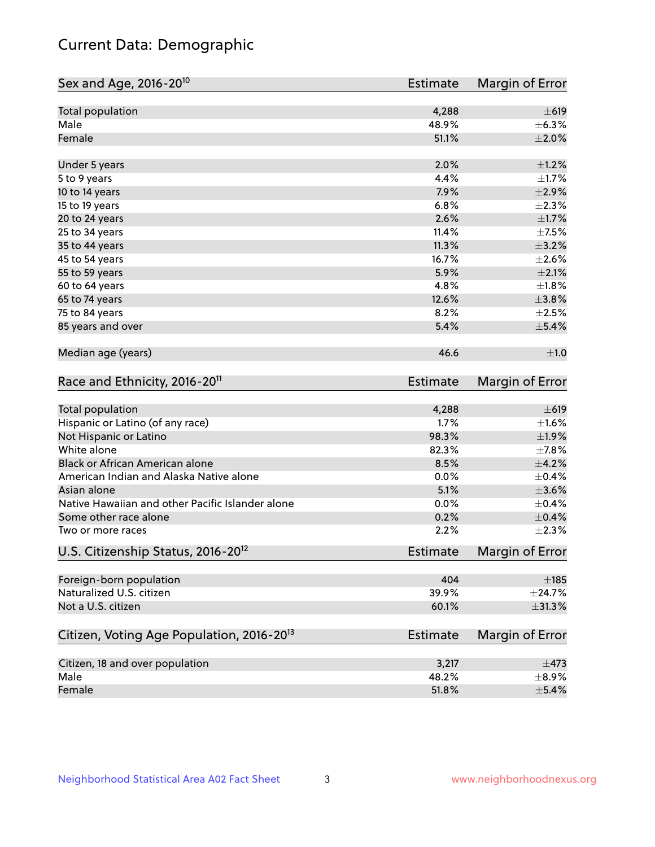# Current Data: Demographic

| Total population<br>4,288<br>Male<br>48.9%<br>Female<br>51.1%<br>2.0%<br>Under 5 years<br>4.4%<br>5 to 9 years<br>10 to 14 years<br>7.9%<br>6.8%<br>15 to 19 years<br>2.6%<br>20 to 24 years<br>11.4%<br>25 to 34 years<br>11.3%<br>35 to 44 years<br>16.7%<br>45 to 54 years<br>55 to 59 years<br>5.9%<br>4.8%<br>60 to 64 years<br>12.6%<br>65 to 74 years<br>75 to 84 years<br>8.2%<br>85 years and over<br>5.4%<br>Median age (years)<br>46.6<br>Race and Ethnicity, 2016-20 <sup>11</sup><br><b>Estimate</b><br><b>Total population</b><br>4,288<br>$\pm 619$<br>Hispanic or Latino (of any race)<br>1.7%<br>$\pm 1.6\%$<br>98.3%<br>Not Hispanic or Latino<br>±1.9%<br>White alone<br>82.3%<br>$\pm$ 7.8%<br>Black or African American alone<br>8.5%<br>$\pm$ 4.2%<br>$\pm$ 0.4%<br>American Indian and Alaska Native alone<br>0.0%<br>$\pm 3.6\%$<br>Asian alone<br>5.1%<br>Native Hawaiian and other Pacific Islander alone<br>0.0%<br>$\pm$ 0.4%<br>0.2%<br>Some other race alone<br>2.2%<br>Two or more races<br>U.S. Citizenship Status, 2016-20 <sup>12</sup><br><b>Estimate</b><br>Foreign-born population<br>404<br>$\pm$ 185<br>Naturalized U.S. citizen<br>39.9%<br>$\pm$ 24.7% | Sex and Age, 2016-20 <sup>10</sup> | <b>Estimate</b> | Margin of Error        |
|-------------------------------------------------------------------------------------------------------------------------------------------------------------------------------------------------------------------------------------------------------------------------------------------------------------------------------------------------------------------------------------------------------------------------------------------------------------------------------------------------------------------------------------------------------------------------------------------------------------------------------------------------------------------------------------------------------------------------------------------------------------------------------------------------------------------------------------------------------------------------------------------------------------------------------------------------------------------------------------------------------------------------------------------------------------------------------------------------------------------------------------------------------------------------------------------------|------------------------------------|-----------------|------------------------|
|                                                                                                                                                                                                                                                                                                                                                                                                                                                                                                                                                                                                                                                                                                                                                                                                                                                                                                                                                                                                                                                                                                                                                                                                 |                                    |                 | $\pm 619$              |
|                                                                                                                                                                                                                                                                                                                                                                                                                                                                                                                                                                                                                                                                                                                                                                                                                                                                                                                                                                                                                                                                                                                                                                                                 |                                    |                 | $\pm$ 6.3%             |
|                                                                                                                                                                                                                                                                                                                                                                                                                                                                                                                                                                                                                                                                                                                                                                                                                                                                                                                                                                                                                                                                                                                                                                                                 |                                    |                 | $\pm 2.0\%$            |
|                                                                                                                                                                                                                                                                                                                                                                                                                                                                                                                                                                                                                                                                                                                                                                                                                                                                                                                                                                                                                                                                                                                                                                                                 |                                    |                 | $\pm 1.2\%$            |
|                                                                                                                                                                                                                                                                                                                                                                                                                                                                                                                                                                                                                                                                                                                                                                                                                                                                                                                                                                                                                                                                                                                                                                                                 |                                    |                 | $\pm1.7\%$             |
|                                                                                                                                                                                                                                                                                                                                                                                                                                                                                                                                                                                                                                                                                                                                                                                                                                                                                                                                                                                                                                                                                                                                                                                                 |                                    |                 | $\pm 2.9\%$            |
|                                                                                                                                                                                                                                                                                                                                                                                                                                                                                                                                                                                                                                                                                                                                                                                                                                                                                                                                                                                                                                                                                                                                                                                                 |                                    |                 | $\pm 2.3\%$            |
|                                                                                                                                                                                                                                                                                                                                                                                                                                                                                                                                                                                                                                                                                                                                                                                                                                                                                                                                                                                                                                                                                                                                                                                                 |                                    |                 | $\pm1.7\%$             |
|                                                                                                                                                                                                                                                                                                                                                                                                                                                                                                                                                                                                                                                                                                                                                                                                                                                                                                                                                                                                                                                                                                                                                                                                 |                                    |                 | $\pm$ 7.5%             |
|                                                                                                                                                                                                                                                                                                                                                                                                                                                                                                                                                                                                                                                                                                                                                                                                                                                                                                                                                                                                                                                                                                                                                                                                 |                                    |                 | $\pm$ 3.2%             |
|                                                                                                                                                                                                                                                                                                                                                                                                                                                                                                                                                                                                                                                                                                                                                                                                                                                                                                                                                                                                                                                                                                                                                                                                 |                                    |                 | $\pm 2.6\%$            |
|                                                                                                                                                                                                                                                                                                                                                                                                                                                                                                                                                                                                                                                                                                                                                                                                                                                                                                                                                                                                                                                                                                                                                                                                 |                                    |                 | $\pm 2.1\%$            |
|                                                                                                                                                                                                                                                                                                                                                                                                                                                                                                                                                                                                                                                                                                                                                                                                                                                                                                                                                                                                                                                                                                                                                                                                 |                                    |                 | $\pm1.8\%$             |
|                                                                                                                                                                                                                                                                                                                                                                                                                                                                                                                                                                                                                                                                                                                                                                                                                                                                                                                                                                                                                                                                                                                                                                                                 |                                    |                 | $\pm 3.8\%$            |
|                                                                                                                                                                                                                                                                                                                                                                                                                                                                                                                                                                                                                                                                                                                                                                                                                                                                                                                                                                                                                                                                                                                                                                                                 |                                    |                 | $\pm 2.5\%$            |
|                                                                                                                                                                                                                                                                                                                                                                                                                                                                                                                                                                                                                                                                                                                                                                                                                                                                                                                                                                                                                                                                                                                                                                                                 |                                    |                 | $\pm$ 5.4%             |
|                                                                                                                                                                                                                                                                                                                                                                                                                                                                                                                                                                                                                                                                                                                                                                                                                                                                                                                                                                                                                                                                                                                                                                                                 |                                    |                 | ±1.0                   |
|                                                                                                                                                                                                                                                                                                                                                                                                                                                                                                                                                                                                                                                                                                                                                                                                                                                                                                                                                                                                                                                                                                                                                                                                 |                                    |                 | Margin of Error        |
|                                                                                                                                                                                                                                                                                                                                                                                                                                                                                                                                                                                                                                                                                                                                                                                                                                                                                                                                                                                                                                                                                                                                                                                                 |                                    |                 |                        |
|                                                                                                                                                                                                                                                                                                                                                                                                                                                                                                                                                                                                                                                                                                                                                                                                                                                                                                                                                                                                                                                                                                                                                                                                 |                                    |                 |                        |
|                                                                                                                                                                                                                                                                                                                                                                                                                                                                                                                                                                                                                                                                                                                                                                                                                                                                                                                                                                                                                                                                                                                                                                                                 |                                    |                 |                        |
|                                                                                                                                                                                                                                                                                                                                                                                                                                                                                                                                                                                                                                                                                                                                                                                                                                                                                                                                                                                                                                                                                                                                                                                                 |                                    |                 |                        |
|                                                                                                                                                                                                                                                                                                                                                                                                                                                                                                                                                                                                                                                                                                                                                                                                                                                                                                                                                                                                                                                                                                                                                                                                 |                                    |                 |                        |
|                                                                                                                                                                                                                                                                                                                                                                                                                                                                                                                                                                                                                                                                                                                                                                                                                                                                                                                                                                                                                                                                                                                                                                                                 |                                    |                 |                        |
|                                                                                                                                                                                                                                                                                                                                                                                                                                                                                                                                                                                                                                                                                                                                                                                                                                                                                                                                                                                                                                                                                                                                                                                                 |                                    |                 |                        |
|                                                                                                                                                                                                                                                                                                                                                                                                                                                                                                                                                                                                                                                                                                                                                                                                                                                                                                                                                                                                                                                                                                                                                                                                 |                                    |                 |                        |
|                                                                                                                                                                                                                                                                                                                                                                                                                                                                                                                                                                                                                                                                                                                                                                                                                                                                                                                                                                                                                                                                                                                                                                                                 |                                    |                 | $\pm$ 0.4%             |
|                                                                                                                                                                                                                                                                                                                                                                                                                                                                                                                                                                                                                                                                                                                                                                                                                                                                                                                                                                                                                                                                                                                                                                                                 |                                    |                 | $\pm 2.3\%$            |
|                                                                                                                                                                                                                                                                                                                                                                                                                                                                                                                                                                                                                                                                                                                                                                                                                                                                                                                                                                                                                                                                                                                                                                                                 |                                    |                 | <b>Margin of Error</b> |
|                                                                                                                                                                                                                                                                                                                                                                                                                                                                                                                                                                                                                                                                                                                                                                                                                                                                                                                                                                                                                                                                                                                                                                                                 |                                    |                 |                        |
|                                                                                                                                                                                                                                                                                                                                                                                                                                                                                                                                                                                                                                                                                                                                                                                                                                                                                                                                                                                                                                                                                                                                                                                                 |                                    |                 |                        |
| Not a U.S. citizen<br>60.1%                                                                                                                                                                                                                                                                                                                                                                                                                                                                                                                                                                                                                                                                                                                                                                                                                                                                                                                                                                                                                                                                                                                                                                     |                                    |                 | $\pm$ 31.3%            |
| Citizen, Voting Age Population, 2016-20 <sup>13</sup><br>Estimate                                                                                                                                                                                                                                                                                                                                                                                                                                                                                                                                                                                                                                                                                                                                                                                                                                                                                                                                                                                                                                                                                                                               |                                    |                 | Margin of Error        |
| Citizen, 18 and over population<br>3,217                                                                                                                                                                                                                                                                                                                                                                                                                                                                                                                                                                                                                                                                                                                                                                                                                                                                                                                                                                                                                                                                                                                                                        |                                    |                 | $\pm$ 473              |
| Male<br>48.2%                                                                                                                                                                                                                                                                                                                                                                                                                                                                                                                                                                                                                                                                                                                                                                                                                                                                                                                                                                                                                                                                                                                                                                                   |                                    |                 | $\pm$ 8.9%             |
| 51.8%<br>Female                                                                                                                                                                                                                                                                                                                                                                                                                                                                                                                                                                                                                                                                                                                                                                                                                                                                                                                                                                                                                                                                                                                                                                                 |                                    |                 | $\pm$ 5.4%             |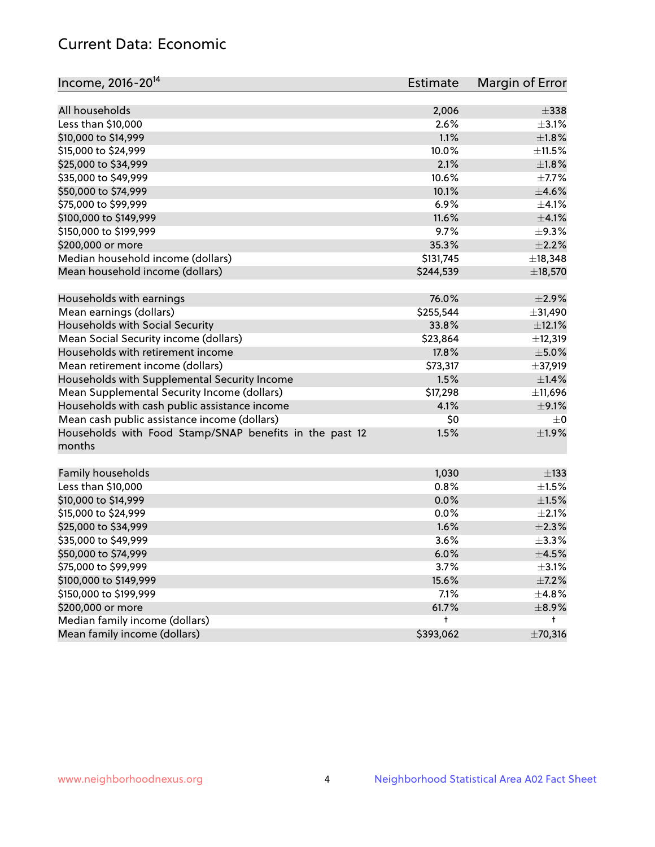# Current Data: Economic

| Income, 2016-20 <sup>14</sup>                           | <b>Estimate</b> | Margin of Error     |
|---------------------------------------------------------|-----------------|---------------------|
| All households                                          |                 | $\pm$ 338           |
|                                                         | 2,006<br>2.6%   |                     |
| Less than \$10,000                                      |                 | $\pm$ 3.1%<br>±1.8% |
| \$10,000 to \$14,999                                    | 1.1%            |                     |
| \$15,000 to \$24,999                                    | 10.0%           | $\pm$ 11.5%         |
| \$25,000 to \$34,999                                    | 2.1%            | ±1.8%               |
| \$35,000 to \$49,999                                    | 10.6%           | $\pm$ 7.7%          |
| \$50,000 to \$74,999                                    | 10.1%           | $\pm 4.6\%$         |
| \$75,000 to \$99,999                                    | 6.9%            | $\pm 4.1\%$         |
| \$100,000 to \$149,999                                  | 11.6%           | $\pm 4.1\%$         |
| \$150,000 to \$199,999                                  | 9.7%            | $\pm$ 9.3%          |
| \$200,000 or more                                       | 35.3%           | $\pm 2.2\%$         |
| Median household income (dollars)                       | \$131,745       | ±18,348             |
| Mean household income (dollars)                         | \$244,539       | ±18,570             |
| Households with earnings                                | 76.0%           | $\pm 2.9\%$         |
| Mean earnings (dollars)                                 | \$255,544       | ±31,490             |
| Households with Social Security                         | 33.8%           | ±12.1%              |
| Mean Social Security income (dollars)                   | \$23,864        | ±12,319             |
| Households with retirement income                       | 17.8%           | $\pm$ 5.0%          |
| Mean retirement income (dollars)                        | \$73,317        | ±37,919             |
| Households with Supplemental Security Income            | 1.5%            | $\pm$ 1.4%          |
| Mean Supplemental Security Income (dollars)             | \$17,298        | ±11,696             |
| Households with cash public assistance income           | 4.1%            | $\pm$ 9.1%          |
| Mean cash public assistance income (dollars)            | \$0             | $\pm 0$             |
| Households with Food Stamp/SNAP benefits in the past 12 | 1.5%            | ±1.9%               |
| months                                                  |                 |                     |
|                                                         |                 |                     |
| Family households                                       | 1,030           | $\pm$ 133           |
| Less than \$10,000                                      | 0.8%            | $\pm 1.5\%$         |
| \$10,000 to \$14,999                                    | 0.0%            | $\pm 1.5\%$         |
| \$15,000 to \$24,999                                    | 0.0%            | $\pm 2.1\%$         |
| \$25,000 to \$34,999                                    | 1.6%            | ±2.3%               |
| \$35,000 to \$49,999                                    | 3.6%            | ±3.3%               |
| \$50,000 to \$74,999                                    | 6.0%            | $\pm$ 4.5%          |
| \$75,000 to \$99,999                                    | 3.7%            | $\pm$ 3.1%          |
| \$100,000 to \$149,999                                  | 15.6%           | $\pm$ 7.2%          |
| \$150,000 to \$199,999                                  | 7.1%            | $\pm$ 4.8%          |
| \$200,000 or more                                       | 61.7%           | $\pm$ 8.9%          |
| Median family income (dollars)                          | t               | t                   |
| Mean family income (dollars)                            | \$393,062       | ±70,316             |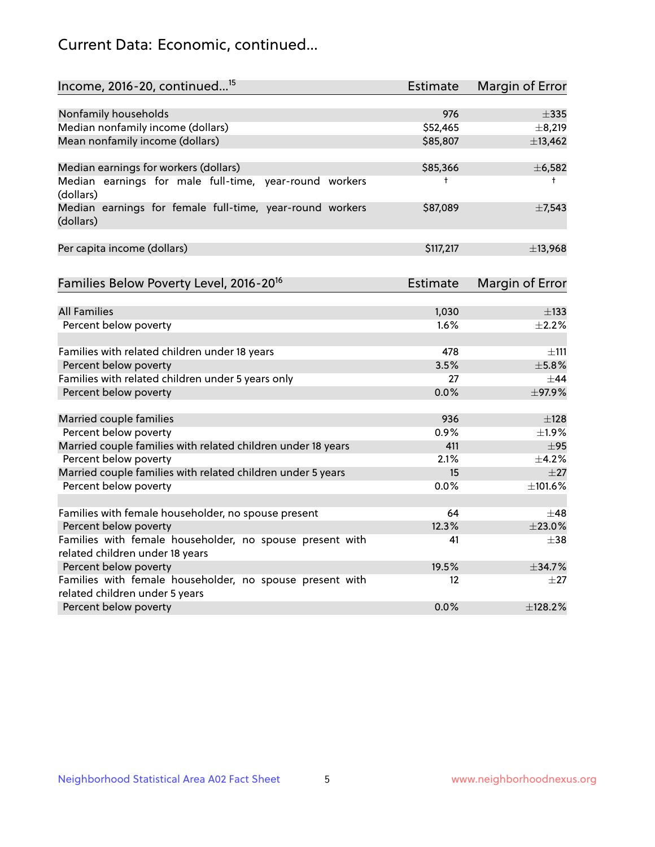# Current Data: Economic, continued...

| Income, 2016-20, continued <sup>15</sup>                              | <b>Estimate</b> | <b>Margin of Error</b> |
|-----------------------------------------------------------------------|-----------------|------------------------|
|                                                                       |                 |                        |
| Nonfamily households                                                  | 976             | $\pm$ 335              |
| Median nonfamily income (dollars)                                     | \$52,465        | ±8,219                 |
| Mean nonfamily income (dollars)                                       | \$85,807        | ±13,462                |
| Median earnings for workers (dollars)                                 | \$85,366        | ±6,582                 |
| Median earnings for male full-time, year-round workers<br>(dollars)   | t               | $^+$                   |
| Median earnings for female full-time, year-round workers<br>(dollars) | \$87,089        | $\pm$ 7,543            |
| Per capita income (dollars)                                           | \$117,217       | ±13,968                |
| Families Below Poverty Level, 2016-20 <sup>16</sup>                   | Estimate        | <b>Margin of Error</b> |
|                                                                       |                 |                        |
| <b>All Families</b>                                                   | 1,030           | $\pm$ 133              |
| Percent below poverty                                                 | 1.6%            | $\pm 2.2\%$            |
| Families with related children under 18 years                         | 478             | $\pm$ 111              |
| Percent below poverty                                                 | 3.5%            | $\pm$ 5.8%             |
| Families with related children under 5 years only                     | 27              | $\pm$ 44               |
| Percent below poverty                                                 | 0.0%            | ±97.9%                 |
| Married couple families                                               | 936             | $\pm$ 128              |
| Percent below poverty                                                 | 0.9%            | $\pm$ 1.9%             |
| Married couple families with related children under 18 years          | 411             | $\pm$ 95               |
| Percent below poverty                                                 | 2.1%            | ±4.2%                  |
| Married couple families with related children under 5 years           | 15              | $\pm 27$               |
| Percent below poverty                                                 | $0.0\%$         | ±101.6%                |
| Families with female householder, no spouse present                   | 64              | $\pm 48$               |
| Percent below poverty                                                 | 12.3%           | ±23.0%                 |
| Families with female householder, no spouse present with              | 41              | $+38$                  |
| related children under 18 years                                       |                 |                        |
| Percent below poverty                                                 | 19.5%           | ±34.7%                 |
| Families with female householder, no spouse present with              | 12              | $\pm 27$               |
| related children under 5 years                                        |                 |                        |
| Percent below poverty                                                 | 0.0%            | ±128.2%                |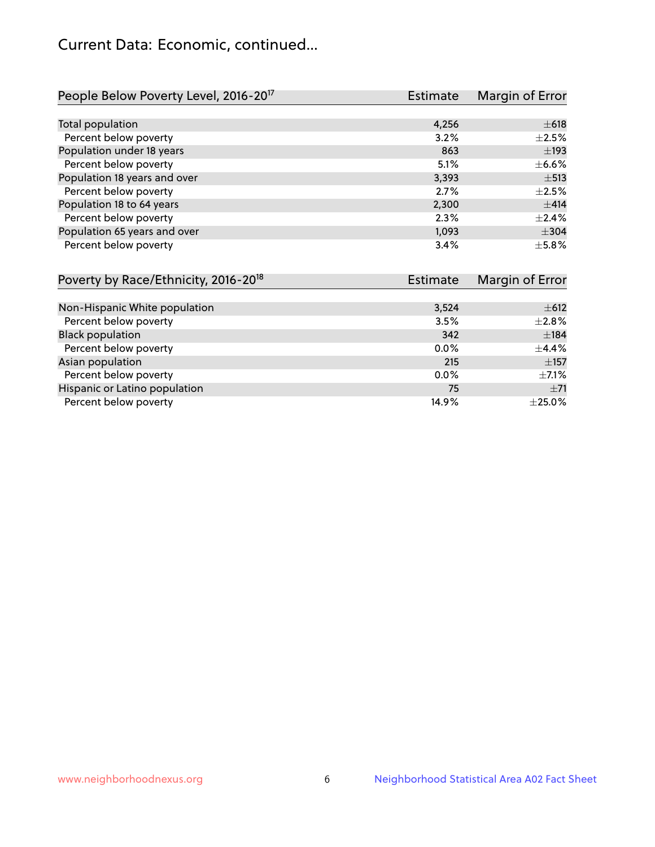# Current Data: Economic, continued...

| People Below Poverty Level, 2016-20 <sup>17</sup> | <b>Estimate</b> | Margin of Error |
|---------------------------------------------------|-----------------|-----------------|
|                                                   |                 |                 |
| Total population                                  | 4,256           | $\pm 618$       |
| Percent below poverty                             | 3.2%            | $\pm 2.5\%$     |
| Population under 18 years                         | 863             | $\pm$ 193       |
| Percent below poverty                             | 5.1%            | $\pm$ 6.6%      |
| Population 18 years and over                      | 3,393           | $\pm$ 513       |
| Percent below poverty                             | 2.7%            | $\pm 2.5\%$     |
| Population 18 to 64 years                         | 2,300           | $\pm$ 414       |
| Percent below poverty                             | 2.3%            | $\pm 2.4\%$     |
| Population 65 years and over                      | 1,093           | $\pm$ 304       |
| Percent below poverty                             | 3.4%            | $\pm$ 5.8%      |

| Poverty by Race/Ethnicity, 2016-20 <sup>18</sup> | Estimate | Margin of Error |
|--------------------------------------------------|----------|-----------------|
|                                                  |          |                 |
| Non-Hispanic White population                    | 3,524    | $\pm$ 612       |
| Percent below poverty                            | 3.5%     | $\pm 2.8\%$     |
| <b>Black population</b>                          | 342      | ±184            |
| Percent below poverty                            | 0.0%     | $\pm$ 4.4%      |
| Asian population                                 | 215      | $\pm$ 157       |
| Percent below poverty                            | $0.0\%$  | $\pm$ 7.1%      |
| Hispanic or Latino population                    | 75       | $\pm 71$        |
| Percent below poverty                            | 14.9%    | ±25.0%          |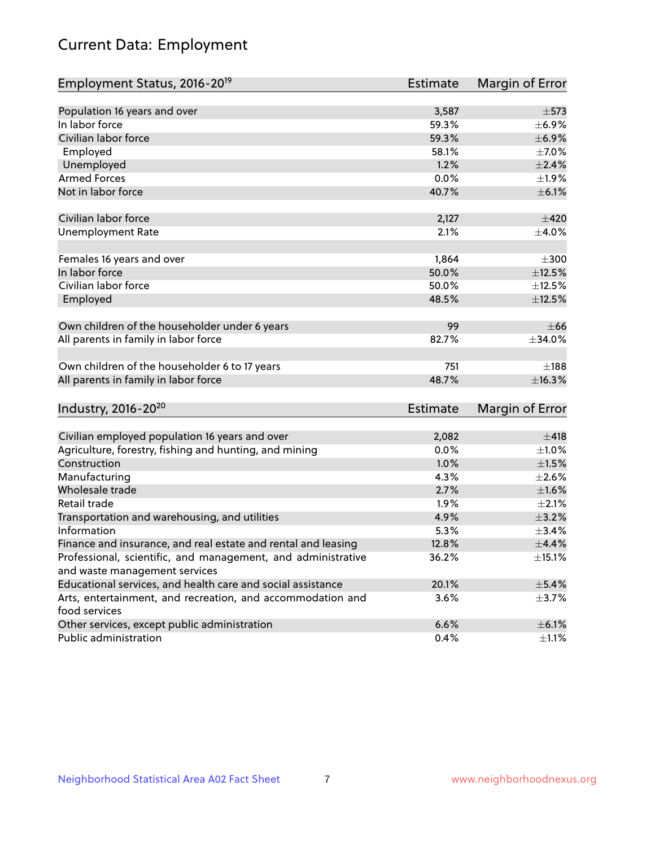# Current Data: Employment

| Employment Status, 2016-20 <sup>19</sup>                                    | <b>Estimate</b> | Margin of Error |
|-----------------------------------------------------------------------------|-----------------|-----------------|
|                                                                             |                 |                 |
| Population 16 years and over                                                | 3,587           | $\pm$ 573       |
| In labor force                                                              | 59.3%           | $\pm$ 6.9%      |
| Civilian labor force                                                        | 59.3%           | $\pm$ 6.9%      |
| Employed                                                                    | 58.1%           | $\pm$ 7.0%      |
| Unemployed                                                                  | 1.2%            | $\pm 2.4\%$     |
| <b>Armed Forces</b>                                                         | 0.0%            | ±1.9%           |
| Not in labor force                                                          | 40.7%           | $\pm$ 6.1%      |
| Civilian labor force                                                        | 2,127           | ±420            |
| <b>Unemployment Rate</b>                                                    | 2.1%            | $\pm$ 4.0%      |
| Females 16 years and over                                                   | 1,864           | $\pm 300$       |
| In labor force                                                              | 50.0%           | $\pm$ 12.5%     |
| Civilian labor force                                                        | 50.0%           | ±12.5%          |
| Employed                                                                    | 48.5%           | $\pm$ 12.5%     |
| Own children of the householder under 6 years                               | 99              | $\pm 66$        |
| All parents in family in labor force                                        | 82.7%           | ±34.0%          |
|                                                                             |                 |                 |
| Own children of the householder 6 to 17 years                               | 751             | ±188            |
| All parents in family in labor force                                        | 48.7%           | ±16.3%          |
| Industry, 2016-20 <sup>20</sup>                                             | Estimate        | Margin of Error |
|                                                                             |                 |                 |
| Civilian employed population 16 years and over                              | 2,082           | $\pm 418$       |
| Agriculture, forestry, fishing and hunting, and mining                      | 0.0%            | $\pm 1.0\%$     |
| Construction                                                                | 1.0%            | $\pm 1.5\%$     |
| Manufacturing                                                               | 4.3%            | $\pm 2.6\%$     |
| Wholesale trade                                                             | 2.7%            | $\pm1.6\%$      |
| Retail trade                                                                | 1.9%            | $\pm 2.1\%$     |
| Transportation and warehousing, and utilities                               | 4.9%            | $\pm$ 3.2%      |
| Information                                                                 | 5.3%            | $\pm$ 3.4%      |
| Finance and insurance, and real estate and rental and leasing               | 12.8%           | $\pm$ 4.4%      |
| Professional, scientific, and management, and administrative                | 36.2%           | $\pm$ 15.1%     |
| and waste management services                                               |                 |                 |
| Educational services, and health care and social assistance                 | 20.1%           | $\pm$ 5.4%      |
| Arts, entertainment, and recreation, and accommodation and<br>food services | 3.6%            | $\pm$ 3.7%      |
| Other services, except public administration                                | 6.6%            | $\pm$ 6.1%      |
| Public administration                                                       | 0.4%            | $\pm 1.1\%$     |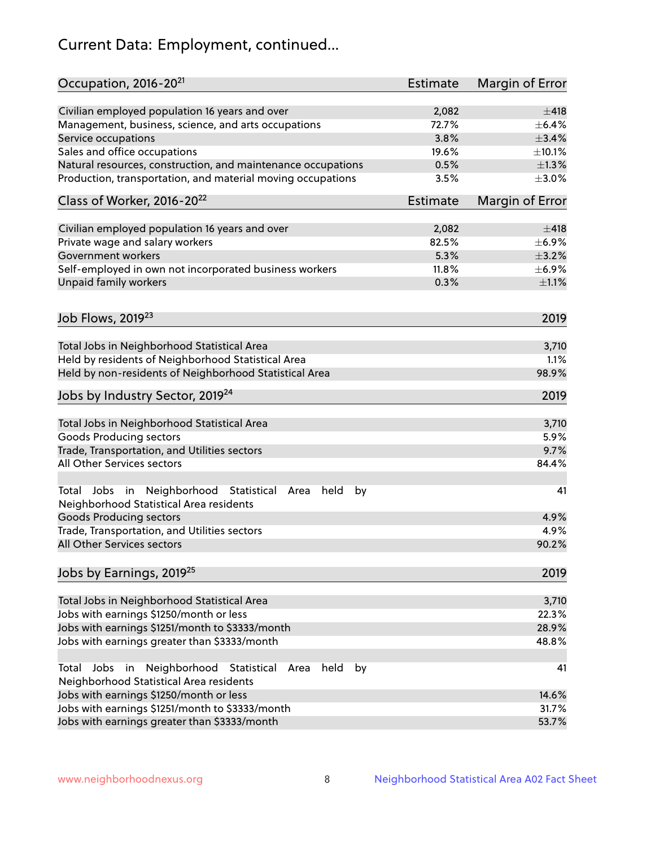# Current Data: Employment, continued...

| Occupation, 2016-20 <sup>21</sup>                                                                       | <b>Estimate</b> | Margin of Error |
|---------------------------------------------------------------------------------------------------------|-----------------|-----------------|
| Civilian employed population 16 years and over                                                          | 2,082           | $\pm$ 418       |
| Management, business, science, and arts occupations                                                     | 72.7%           | $\pm$ 6.4%      |
| Service occupations                                                                                     | 3.8%            | $\pm$ 3.4%      |
| Sales and office occupations                                                                            | 19.6%           | ±10.1%          |
| Natural resources, construction, and maintenance occupations                                            | 0.5%            | $\pm 1.3\%$     |
| Production, transportation, and material moving occupations                                             | 3.5%            | $\pm 3.0\%$     |
| Class of Worker, 2016-20 <sup>22</sup>                                                                  | Estimate        | Margin of Error |
| Civilian employed population 16 years and over                                                          | 2,082           | $\pm$ 418       |
| Private wage and salary workers                                                                         | 82.5%           | $\pm$ 6.9%      |
| Government workers                                                                                      | 5.3%            | $\pm$ 3.2%      |
| Self-employed in own not incorporated business workers                                                  | 11.8%           | $\pm$ 6.9%      |
| Unpaid family workers                                                                                   | 0.3%            | $\pm 1.1\%$     |
|                                                                                                         |                 |                 |
| Job Flows, 2019 <sup>23</sup>                                                                           |                 | 2019            |
| Total Jobs in Neighborhood Statistical Area                                                             |                 | 3,710           |
| Held by residents of Neighborhood Statistical Area                                                      |                 | 1.1%            |
| Held by non-residents of Neighborhood Statistical Area                                                  |                 | 98.9%           |
| Jobs by Industry Sector, 2019 <sup>24</sup>                                                             |                 | 2019            |
| Total Jobs in Neighborhood Statistical Area                                                             |                 | 3,710           |
| <b>Goods Producing sectors</b>                                                                          |                 | 5.9%            |
| Trade, Transportation, and Utilities sectors                                                            |                 | 9.7%            |
| All Other Services sectors                                                                              |                 | 84.4%           |
| Total Jobs in Neighborhood Statistical<br>held<br>by<br>Area<br>Neighborhood Statistical Area residents |                 | 41              |
| <b>Goods Producing sectors</b>                                                                          |                 | 4.9%            |
| Trade, Transportation, and Utilities sectors                                                            |                 | 4.9%            |
| All Other Services sectors                                                                              |                 | 90.2%           |
| Jobs by Earnings, 2019 <sup>25</sup>                                                                    |                 | 2019            |
| Total Jobs in Neighborhood Statistical Area                                                             |                 | 3,710           |
| Jobs with earnings \$1250/month or less                                                                 |                 | 22.3%           |
| Jobs with earnings \$1251/month to \$3333/month                                                         |                 | 28.9%           |
| Jobs with earnings greater than \$3333/month                                                            |                 | 48.8%           |
| Neighborhood Statistical<br>Jobs<br>in<br>held<br>by<br>Total<br>Area                                   |                 | 41              |
| Neighborhood Statistical Area residents                                                                 |                 |                 |
| Jobs with earnings \$1250/month or less                                                                 |                 | 14.6%           |
| Jobs with earnings \$1251/month to \$3333/month                                                         |                 | 31.7%           |
| Jobs with earnings greater than \$3333/month                                                            |                 | 53.7%           |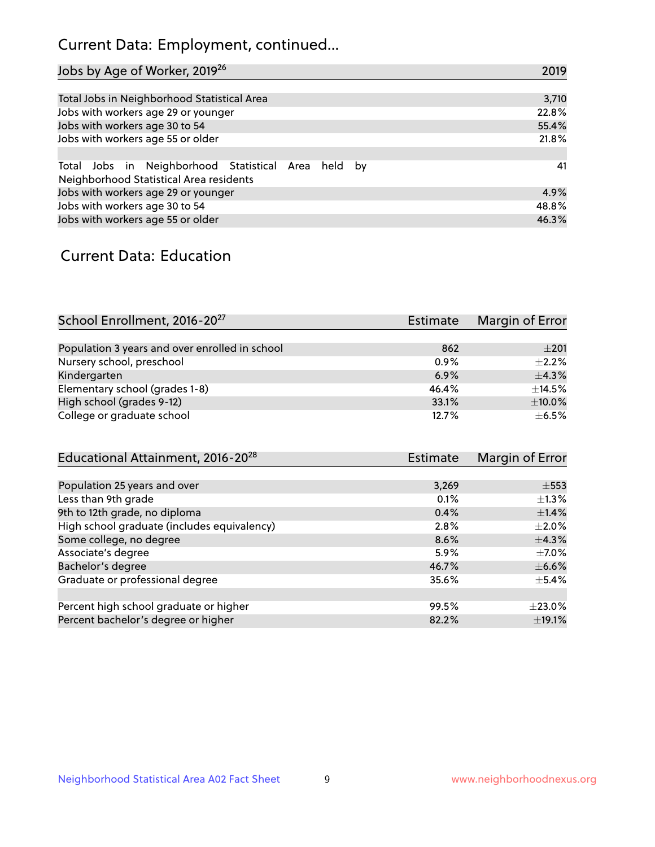# Current Data: Employment, continued...

| Jobs by Age of Worker, 2019 <sup>26</sup>                                                      | 2019  |
|------------------------------------------------------------------------------------------------|-------|
|                                                                                                |       |
| Total Jobs in Neighborhood Statistical Area                                                    | 3,710 |
| Jobs with workers age 29 or younger                                                            | 22.8% |
| Jobs with workers age 30 to 54                                                                 | 55.4% |
| Jobs with workers age 55 or older                                                              | 21.8% |
|                                                                                                |       |
| Total Jobs in Neighborhood Statistical Area held by<br>Neighborhood Statistical Area residents | 41    |
| Jobs with workers age 29 or younger                                                            | 4.9%  |
| Jobs with workers age 30 to 54                                                                 | 48.8% |
| Jobs with workers age 55 or older                                                              | 46.3% |

### Current Data: Education

| School Enrollment, 2016-20 <sup>27</sup>       | <b>Estimate</b> | Margin of Error |
|------------------------------------------------|-----------------|-----------------|
|                                                |                 |                 |
| Population 3 years and over enrolled in school | 862             | $\pm 201$       |
| Nursery school, preschool                      | 0.9%            | $\pm 2.2\%$     |
| Kindergarten                                   | 6.9%            | $+4.3%$         |
| Elementary school (grades 1-8)                 | 46.4%           | $\pm$ 14.5%     |
| High school (grades 9-12)                      | 33.1%           | $\pm$ 10.0%     |
| College or graduate school                     | 12.7%           | $+6.5%$         |

| Educational Attainment, 2016-20 <sup>28</sup> | <b>Estimate</b> | Margin of Error |
|-----------------------------------------------|-----------------|-----------------|
|                                               |                 |                 |
| Population 25 years and over                  | 3,269           | $\pm$ 553       |
| Less than 9th grade                           | 0.1%            | $\pm 1.3\%$     |
| 9th to 12th grade, no diploma                 | 0.4%            | $\pm$ 1.4%      |
| High school graduate (includes equivalency)   | 2.8%            | $\pm 2.0\%$     |
| Some college, no degree                       | 8.6%            | $\pm$ 4.3%      |
| Associate's degree                            | 5.9%            | $\pm$ 7.0%      |
| Bachelor's degree                             | 46.7%           | $\pm$ 6.6%      |
| Graduate or professional degree               | 35.6%           | $\pm$ 5.4%      |
|                                               |                 |                 |
| Percent high school graduate or higher        | 99.5%           | $+23.0%$        |
| Percent bachelor's degree or higher           | 82.2%           | $\pm$ 19.1%     |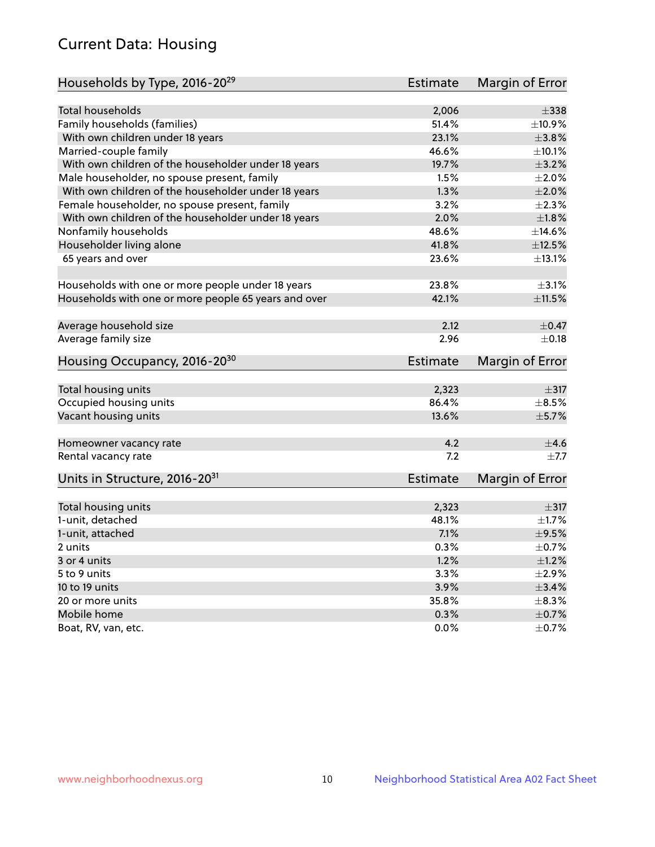# Current Data: Housing

| Households by Type, 2016-20 <sup>29</sup>            | <b>Estimate</b> | Margin of Error |
|------------------------------------------------------|-----------------|-----------------|
|                                                      |                 |                 |
| Total households                                     | 2,006           | $\pm$ 338       |
| Family households (families)                         | 51.4%           | ±10.9%          |
| With own children under 18 years                     | 23.1%           | $\pm$ 3.8%      |
| Married-couple family                                | 46.6%           | ±10.1%          |
| With own children of the householder under 18 years  | 19.7%           | $\pm$ 3.2%      |
| Male householder, no spouse present, family          | 1.5%            | $\pm 2.0\%$     |
| With own children of the householder under 18 years  | 1.3%            | $\pm 2.0\%$     |
| Female householder, no spouse present, family        | 3.2%            | $\pm 2.3\%$     |
| With own children of the householder under 18 years  | 2.0%            | ±1.8%           |
| Nonfamily households                                 | 48.6%           | ±14.6%          |
| Householder living alone                             | 41.8%           | $\pm$ 12.5%     |
| 65 years and over                                    | 23.6%           | ±13.1%          |
|                                                      |                 |                 |
| Households with one or more people under 18 years    | 23.8%           | $\pm$ 3.1%      |
| Households with one or more people 65 years and over | 42.1%           | $\pm$ 11.5%     |
| Average household size                               | 2.12            | $\pm$ 0.47      |
| Average family size                                  | 2.96            | $\pm$ 0.18      |
| Housing Occupancy, 2016-20 <sup>30</sup>             | <b>Estimate</b> | Margin of Error |
| Total housing units                                  | 2,323           | $\pm$ 317       |
| Occupied housing units                               | 86.4%           | $\pm$ 8.5%      |
| Vacant housing units                                 | 13.6%           | $\pm$ 5.7%      |
|                                                      |                 |                 |
| Homeowner vacancy rate                               | 4.2             | ±4.6            |
| Rental vacancy rate                                  | 7.2             | $+7.7$          |
| Units in Structure, 2016-20 <sup>31</sup>            | Estimate        | Margin of Error |
| Total housing units                                  | 2,323           | $\pm$ 317       |
| 1-unit, detached                                     | 48.1%           | ±1.7%           |
| 1-unit, attached                                     | 7.1%            | $\pm$ 9.5%      |
| 2 units                                              | 0.3%            | $\pm$ 0.7%      |
|                                                      | 1.2%            | ±1.2%           |
| 3 or 4 units                                         |                 | $\pm 2.9\%$     |
| 5 to 9 units                                         | 3.3%            | $\pm$ 3.4%      |
| 10 to 19 units                                       | 3.9%            |                 |
| 20 or more units                                     | 35.8%           | $\pm$ 8.3%      |
| Mobile home                                          | 0.3%            | $\pm$ 0.7%      |
| Boat, RV, van, etc.                                  | $0.0\%$         | $\pm$ 0.7%      |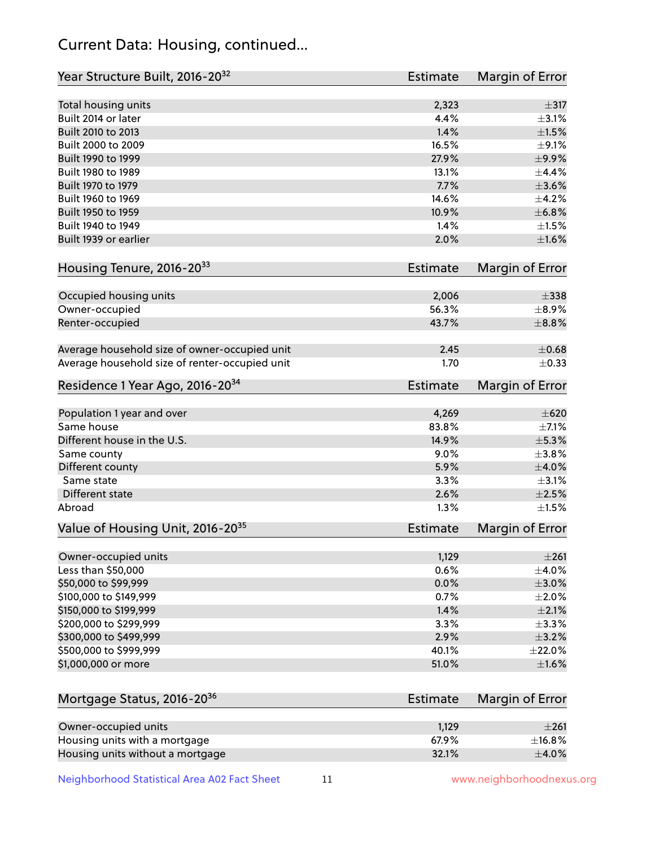# Current Data: Housing, continued...

| Year Structure Built, 2016-20 <sup>32</sup>    | <b>Estimate</b> | Margin of Error |
|------------------------------------------------|-----------------|-----------------|
| Total housing units                            | 2,323           | $\pm$ 317       |
| Built 2014 or later                            | 4.4%            | $\pm$ 3.1%      |
| Built 2010 to 2013                             | 1.4%            | $\pm1.5\%$      |
| Built 2000 to 2009                             | 16.5%           | $\pm$ 9.1%      |
| Built 1990 to 1999                             | 27.9%           | $\pm$ 9.9%      |
| Built 1980 to 1989                             | 13.1%           | $\pm$ 4.4%      |
| Built 1970 to 1979                             | 7.7%            | $\pm 3.6\%$     |
| Built 1960 to 1969                             | 14.6%           | $\pm$ 4.2%      |
| Built 1950 to 1959                             | 10.9%           | ±6.8%           |
| Built 1940 to 1949                             | 1.4%            | $\pm 1.5\%$     |
| Built 1939 or earlier                          | 2.0%            | $\pm1.6\%$      |
| Housing Tenure, 2016-2033                      | <b>Estimate</b> | Margin of Error |
| Occupied housing units                         | 2,006           | $\pm$ 338       |
| Owner-occupied                                 | 56.3%           | $\pm$ 8.9%      |
| Renter-occupied                                | 43.7%           | $\pm$ 8.8%      |
| Average household size of owner-occupied unit  | 2.45            | $\pm$ 0.68      |
| Average household size of renter-occupied unit | 1.70            | $\pm$ 0.33      |
| Residence 1 Year Ago, 2016-20 <sup>34</sup>    | <b>Estimate</b> | Margin of Error |
|                                                |                 | $\pm 620$       |
| Population 1 year and over<br>Same house       | 4,269<br>83.8%  | $\pm$ 7.1%      |
| Different house in the U.S.                    | 14.9%           | $\pm$ 5.3%      |
|                                                | 9.0%            | ±3.8%           |
| Same county<br>Different county                | 5.9%            | $\pm 4.0\%$     |
| Same state                                     | 3.3%            | $\pm$ 3.1%      |
| Different state                                | 2.6%            | $\pm 2.5\%$     |
| Abroad                                         | 1.3%            | $\pm 1.5\%$     |
|                                                |                 |                 |
| Value of Housing Unit, 2016-20 <sup>35</sup>   | <b>Estimate</b> | Margin of Error |
| Owner-occupied units                           | 1,129           | ±261            |
| Less than \$50,000                             | 0.6%            | $\pm$ 4.0%      |
| \$50,000 to \$99,999                           | 0.0%            | $\pm 3.0\%$     |
| \$100,000 to \$149,999                         | 0.7%            | $\pm 2.0\%$     |
| \$150,000 to \$199,999                         | 1.4%            | $\pm 2.1\%$     |
| \$200,000 to \$299,999                         | 3.3%            | ±3.3%           |
| \$300,000 to \$499,999                         | 2.9%            | $\pm$ 3.2%      |
| \$500,000 to \$999,999                         | 40.1%           | $\pm 22.0\%$    |
| \$1,000,000 or more                            | 51.0%           | $\pm1.6\%$      |
| Mortgage Status, 2016-20 <sup>36</sup>         | <b>Estimate</b> | Margin of Error |
|                                                |                 |                 |
| Owner-occupied units                           | 1,129           | $\pm 261$       |
| Housing units with a mortgage                  | 67.9%           | ±16.8%          |
| Housing units without a mortgage               | 32.1%           | $\pm$ 4.0%      |

Neighborhood Statistical Area A02 Fact Sheet 11 11 www.neighborhoodnexus.org

Housing units without a mortgage 32.1%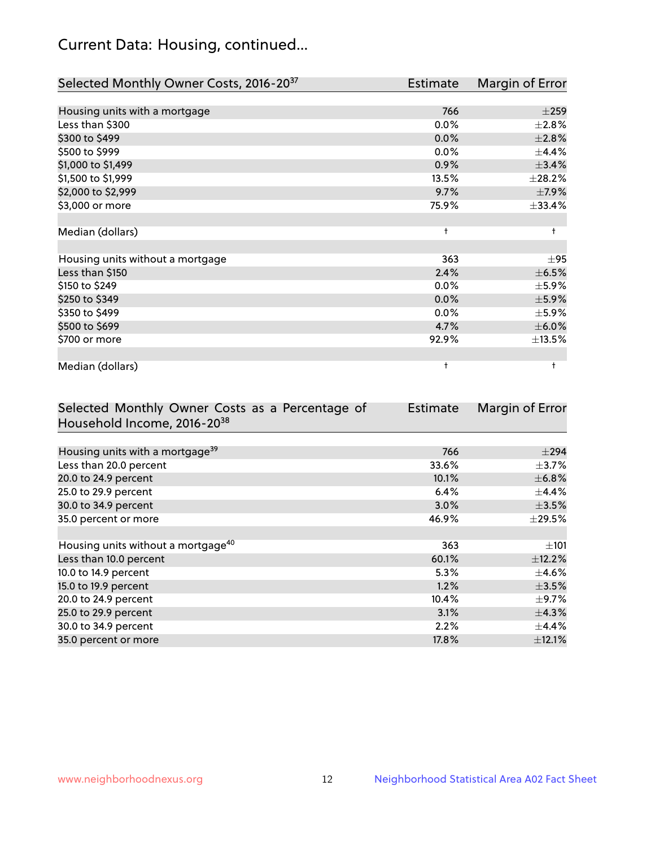# Current Data: Housing, continued...

| Selected Monthly Owner Costs, 2016-20 <sup>37</sup> | Estimate   | Margin of Error |
|-----------------------------------------------------|------------|-----------------|
|                                                     |            |                 |
| Housing units with a mortgage                       | 766        | $\pm 259$       |
| Less than \$300                                     | 0.0%       | $\pm 2.8\%$     |
| \$300 to \$499                                      | 0.0%       | ±2.8%           |
| \$500 to \$999                                      | 0.0%       | $\pm$ 4.4%      |
| \$1,000 to \$1,499                                  | 0.9%       | ±3.4%           |
| \$1,500 to \$1,999                                  | 13.5%      | ±28.2%          |
| \$2,000 to \$2,999                                  | 9.7%       | $\pm$ 7.9%      |
| \$3,000 or more                                     | 75.9%      | ±33.4%          |
|                                                     |            |                 |
| Median (dollars)                                    | $\ddagger$ | $\ddagger$      |
|                                                     |            |                 |
| Housing units without a mortgage                    | 363        | ±95             |
| Less than \$150                                     | 2.4%       | $\pm$ 6.5%      |
| \$150 to \$249                                      | 0.0%       | $\pm$ 5.9%      |
| \$250 to \$349                                      | 0.0%       | $\pm$ 5.9%      |
| \$350 to \$499                                      | $0.0\%$    | $\pm$ 5.9%      |
| \$500 to \$699                                      | 4.7%       | $\pm$ 6.0%      |
| \$700 or more                                       | 92.9%      | ±13.5%          |
|                                                     |            |                 |
| Median (dollars)                                    | $\ddagger$ | $\ddagger$      |

| Selected Monthly Owner Costs as a Percentage of | Estimate | Margin of Error |
|-------------------------------------------------|----------|-----------------|
| Household Income, 2016-2038                     |          |                 |
|                                                 |          |                 |
| Housing units with a mortgage <sup>39</sup>     | 766      | $\pm$ 294       |
| Less than 20.0 percent                          | 33.6%    | $\pm$ 3.7%      |
| 20.0 to 24.9 percent                            | 10.1%    | $\pm$ 6.8%      |
| 25.0 to 29.9 percent                            | 6.4%     | $\pm$ 4.4%      |
| 30.0 to 34.9 percent                            | 3.0%     | $\pm$ 3.5%      |
| 35.0 percent or more                            | 46.9%    | $\pm$ 29.5%     |
|                                                 |          |                 |
| Housing units without a mortgage <sup>40</sup>  | 363      | $\pm 101$       |
| Less than 10.0 percent                          | 60.1%    | $\pm$ 12.2%     |
| 10.0 to 14.9 percent                            | 5.3%     | $\pm$ 4.6%      |
| 15.0 to 19.9 percent                            | 1.2%     | $\pm$ 3.5%      |
| 20.0 to 24.9 percent                            | 10.4%    | $\pm$ 9.7%      |
| 25.0 to 29.9 percent                            | $3.1\%$  | $\pm$ 4.3%      |
| 30.0 to 34.9 percent                            | 2.2%     | $\pm$ 4.4%      |
| 35.0 percent or more                            | 17.8%    | $\pm$ 12.1%     |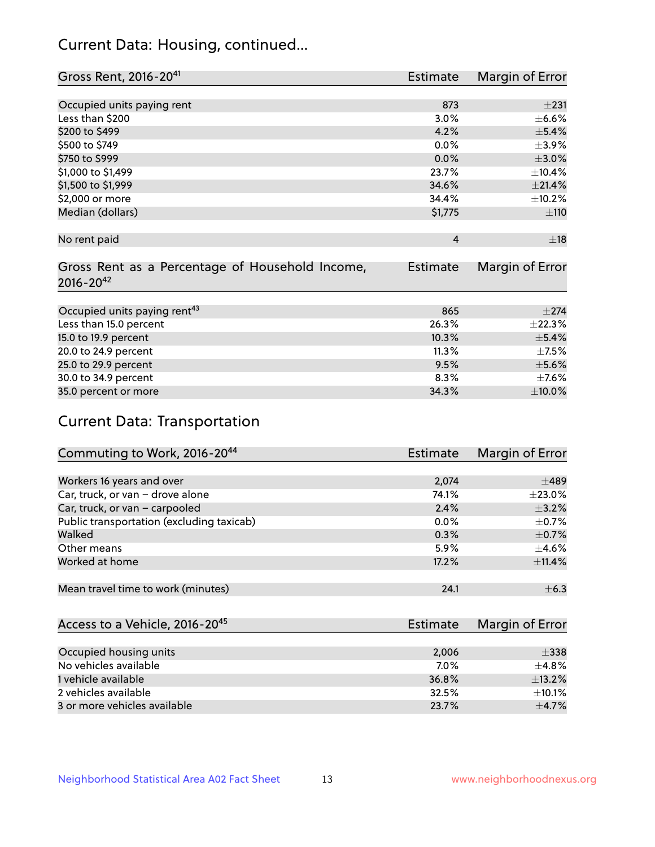# Current Data: Housing, continued...

| Gross Rent, 2016-20 <sup>41</sup>               | Estimate       | Margin of Error |
|-------------------------------------------------|----------------|-----------------|
|                                                 |                |                 |
| Occupied units paying rent                      | 873            | $\pm 231$       |
| Less than \$200                                 | 3.0%           | $\pm$ 6.6%      |
| \$200 to \$499                                  | 4.2%           | $\pm$ 5.4%      |
| \$500 to \$749                                  | 0.0%           | $\pm$ 3.9%      |
| \$750 to \$999                                  | 0.0%           | $\pm 3.0\%$     |
| \$1,000 to \$1,499                              | 23.7%          | ±10.4%          |
| \$1,500 to \$1,999                              | 34.6%          | $\pm 21.4\%$    |
| \$2,000 or more                                 | 34.4%          | ±10.2%          |
| Median (dollars)                                | \$1,775        | ±110            |
|                                                 |                |                 |
| No rent paid                                    | $\overline{4}$ | ±18             |
|                                                 |                |                 |
| Gross Rent as a Percentage of Household Income, | Estimate       | Margin of Error |
| $2016 - 20^{42}$                                |                |                 |
|                                                 |                |                 |
| Occupied units paying rent <sup>43</sup>        | 865            | $\pm 274$       |
| Less than 15.0 percent                          | 26.3%          | ±22.3%          |
| 15.0 to 19.9 percent                            | 10.3%          | $\pm$ 5.4%      |
| 20.0 to 24.9 percent                            | 11.3%          | $\pm$ 7.5%      |
| 25.0 to 29.9 percent                            | 9.5%           | $\pm$ 5.6%      |
| 30.0 to 34.9 percent                            | 8.3%           | $\pm$ 7.6%      |
| 35.0 percent or more                            | 34.3%          | $\pm$ 10.0%     |

# Current Data: Transportation

| Commuting to Work, 2016-20 <sup>44</sup>  | Estimate | Margin of Error |
|-------------------------------------------|----------|-----------------|
|                                           |          |                 |
| Workers 16 years and over                 | 2,074    | $\pm 489$       |
| Car, truck, or van - drove alone          | 74.1%    | $\pm 23.0\%$    |
| Car, truck, or van - carpooled            | 2.4%     | $\pm$ 3.2%      |
| Public transportation (excluding taxicab) | $0.0\%$  | $\pm$ 0.7%      |
| Walked                                    | 0.3%     | $\pm$ 0.7%      |
| Other means                               | 5.9%     | $\pm$ 4.6%      |
| Worked at home                            | 17.2%    | ±11.4%          |
|                                           |          |                 |
| Mean travel time to work (minutes)        | 24.1     | $\pm$ 6.3       |

| Access to a Vehicle, 2016-20 <sup>45</sup> | Estimate | Margin of Error |
|--------------------------------------------|----------|-----------------|
|                                            |          |                 |
| Occupied housing units                     | 2,006    | $\pm$ 338       |
| No vehicles available                      | 7.0%     | $+4.8%$         |
| 1 vehicle available                        | 36.8%    | ±13.2%          |
| 2 vehicles available                       | 32.5%    | ±10.1%          |
| 3 or more vehicles available               | 23.7%    | $+4.7%$         |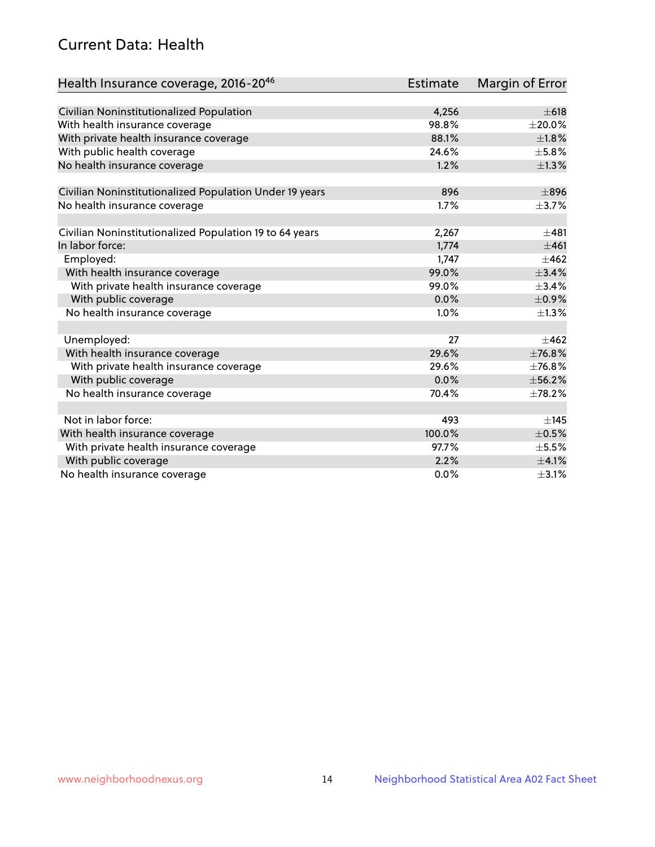# Current Data: Health

| Health Insurance coverage, 2016-2046                    | <b>Estimate</b> | <b>Margin of Error</b> |
|---------------------------------------------------------|-----------------|------------------------|
|                                                         |                 |                        |
| Civilian Noninstitutionalized Population                | 4,256           | $\pm 618$              |
| With health insurance coverage                          | 98.8%           | $\pm 20.0\%$           |
| With private health insurance coverage                  | 88.1%           | $\pm1.8\%$             |
| With public health coverage                             | 24.6%           | $\pm$ 5.8%             |
| No health insurance coverage                            | 1.2%            | $\pm$ 1.3%             |
| Civilian Noninstitutionalized Population Under 19 years | 896             | $\pm896$               |
| No health insurance coverage                            | 1.7%            | $\pm$ 3.7%             |
|                                                         |                 |                        |
| Civilian Noninstitutionalized Population 19 to 64 years | 2,267           | $\pm 481$              |
| In labor force:                                         | 1,774           | ±461                   |
| Employed:                                               | 1,747           | $\pm 462$              |
| With health insurance coverage                          | 99.0%           | $\pm$ 3.4%             |
| With private health insurance coverage                  | 99.0%           | $\pm$ 3.4%             |
| With public coverage                                    | 0.0%            | $\pm$ 0.9%             |
| No health insurance coverage                            | 1.0%            | $\pm 1.3\%$            |
|                                                         |                 |                        |
| Unemployed:                                             | 27              | $+462$                 |
| With health insurance coverage                          | 29.6%           | ±76.8%                 |
| With private health insurance coverage                  | 29.6%           | ±76.8%                 |
| With public coverage                                    | 0.0%            | ±56.2%                 |
| No health insurance coverage                            | 70.4%           | ±78.2%                 |
|                                                         |                 |                        |
| Not in labor force:                                     | 493             | ±145                   |
| With health insurance coverage                          | 100.0%          | $\pm$ 0.5%             |
| With private health insurance coverage                  | 97.7%           | $\pm$ 5.5%             |
| With public coverage                                    | 2.2%            | $\pm$ 4.1%             |
| No health insurance coverage                            | $0.0\%$         | $\pm$ 3.1%             |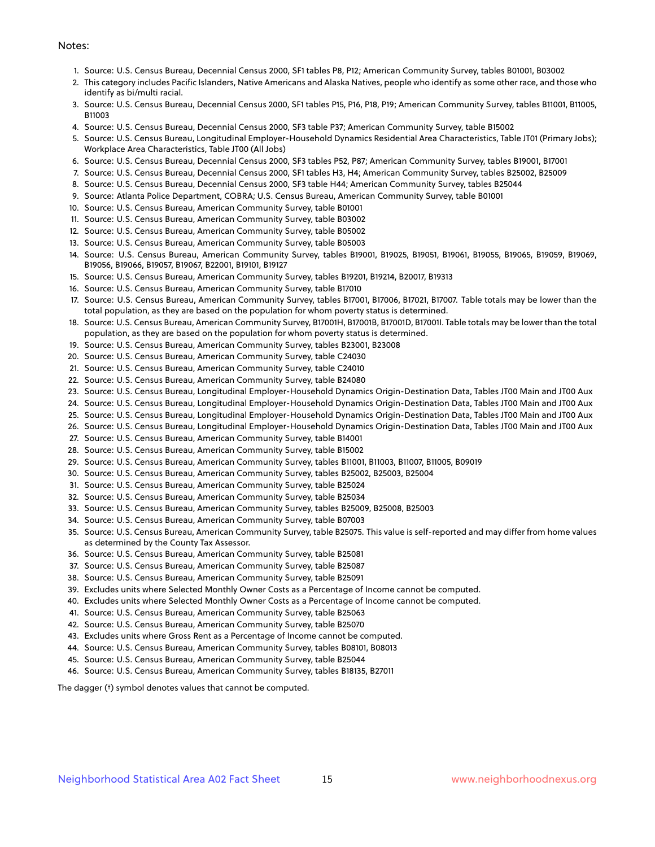#### Notes:

- 1. Source: U.S. Census Bureau, Decennial Census 2000, SF1 tables P8, P12; American Community Survey, tables B01001, B03002
- 2. This category includes Pacific Islanders, Native Americans and Alaska Natives, people who identify as some other race, and those who identify as bi/multi racial.
- 3. Source: U.S. Census Bureau, Decennial Census 2000, SF1 tables P15, P16, P18, P19; American Community Survey, tables B11001, B11005, B11003
- 4. Source: U.S. Census Bureau, Decennial Census 2000, SF3 table P37; American Community Survey, table B15002
- 5. Source: U.S. Census Bureau, Longitudinal Employer-Household Dynamics Residential Area Characteristics, Table JT01 (Primary Jobs); Workplace Area Characteristics, Table JT00 (All Jobs)
- 6. Source: U.S. Census Bureau, Decennial Census 2000, SF3 tables P52, P87; American Community Survey, tables B19001, B17001
- 7. Source: U.S. Census Bureau, Decennial Census 2000, SF1 tables H3, H4; American Community Survey, tables B25002, B25009
- 8. Source: U.S. Census Bureau, Decennial Census 2000, SF3 table H44; American Community Survey, tables B25044
- 9. Source: Atlanta Police Department, COBRA; U.S. Census Bureau, American Community Survey, table B01001
- 10. Source: U.S. Census Bureau, American Community Survey, table B01001
- 11. Source: U.S. Census Bureau, American Community Survey, table B03002
- 12. Source: U.S. Census Bureau, American Community Survey, table B05002
- 13. Source: U.S. Census Bureau, American Community Survey, table B05003
- 14. Source: U.S. Census Bureau, American Community Survey, tables B19001, B19025, B19051, B19061, B19055, B19065, B19059, B19069, B19056, B19066, B19057, B19067, B22001, B19101, B19127
- 15. Source: U.S. Census Bureau, American Community Survey, tables B19201, B19214, B20017, B19313
- 16. Source: U.S. Census Bureau, American Community Survey, table B17010
- 17. Source: U.S. Census Bureau, American Community Survey, tables B17001, B17006, B17021, B17007. Table totals may be lower than the total population, as they are based on the population for whom poverty status is determined.
- 18. Source: U.S. Census Bureau, American Community Survey, B17001H, B17001B, B17001D, B17001I. Table totals may be lower than the total population, as they are based on the population for whom poverty status is determined.
- 19. Source: U.S. Census Bureau, American Community Survey, tables B23001, B23008
- 20. Source: U.S. Census Bureau, American Community Survey, table C24030
- 21. Source: U.S. Census Bureau, American Community Survey, table C24010
- 22. Source: U.S. Census Bureau, American Community Survey, table B24080
- 23. Source: U.S. Census Bureau, Longitudinal Employer-Household Dynamics Origin-Destination Data, Tables JT00 Main and JT00 Aux
- 24. Source: U.S. Census Bureau, Longitudinal Employer-Household Dynamics Origin-Destination Data, Tables JT00 Main and JT00 Aux
- 25. Source: U.S. Census Bureau, Longitudinal Employer-Household Dynamics Origin-Destination Data, Tables JT00 Main and JT00 Aux
- 26. Source: U.S. Census Bureau, Longitudinal Employer-Household Dynamics Origin-Destination Data, Tables JT00 Main and JT00 Aux
- 27. Source: U.S. Census Bureau, American Community Survey, table B14001
- 28. Source: U.S. Census Bureau, American Community Survey, table B15002
- 29. Source: U.S. Census Bureau, American Community Survey, tables B11001, B11003, B11007, B11005, B09019
- 30. Source: U.S. Census Bureau, American Community Survey, tables B25002, B25003, B25004
- 31. Source: U.S. Census Bureau, American Community Survey, table B25024
- 32. Source: U.S. Census Bureau, American Community Survey, table B25034
- 33. Source: U.S. Census Bureau, American Community Survey, tables B25009, B25008, B25003
- 34. Source: U.S. Census Bureau, American Community Survey, table B07003
- 35. Source: U.S. Census Bureau, American Community Survey, table B25075. This value is self-reported and may differ from home values as determined by the County Tax Assessor.
- 36. Source: U.S. Census Bureau, American Community Survey, table B25081
- 37. Source: U.S. Census Bureau, American Community Survey, table B25087
- 38. Source: U.S. Census Bureau, American Community Survey, table B25091
- 39. Excludes units where Selected Monthly Owner Costs as a Percentage of Income cannot be computed.
- 40. Excludes units where Selected Monthly Owner Costs as a Percentage of Income cannot be computed.
- 41. Source: U.S. Census Bureau, American Community Survey, table B25063
- 42. Source: U.S. Census Bureau, American Community Survey, table B25070
- 43. Excludes units where Gross Rent as a Percentage of Income cannot be computed.
- 44. Source: U.S. Census Bureau, American Community Survey, tables B08101, B08013
- 45. Source: U.S. Census Bureau, American Community Survey, table B25044
- 46. Source: U.S. Census Bureau, American Community Survey, tables B18135, B27011

The dagger (†) symbol denotes values that cannot be computed.